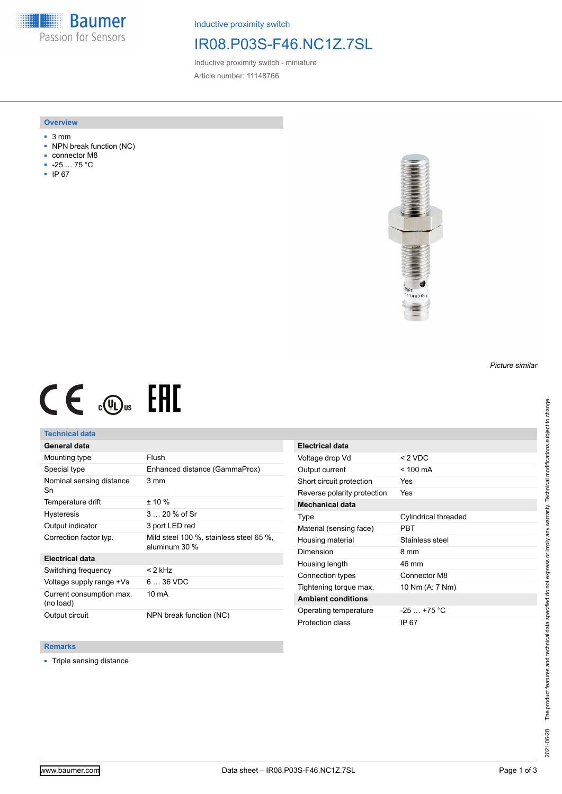**Baumer** Passion for Sensors

Inductive proximity switch

## IR08.P03S-F46.NC1Z.7SL

Inductive proximity switch - miniature Article number: 11148766

### **Overview**

- 3 mm
- NPN break function (NC)
- connector M8
- -25 … 75 °C
- IP 67



# $CE \mathcal{L}$  ( $\mathcal{L}$  and  $SE$

## **Technical data**

## **General data**

| Mounting type                         | Flush                                                    |
|---------------------------------------|----------------------------------------------------------|
| Special type                          | Enhanced distance (GammaProx)                            |
| Nominal sensing distance<br>Sn        | 3 mm                                                     |
| Temperature drift                     | $± 10 \%$                                                |
| <b>Hysteresis</b>                     | $320%$ of Sr                                             |
| Output indicator                      | 3 port LED red                                           |
| Correction factor typ.                | Mild steel 100 %, stainless steel 65 %,<br>aluminum 30 % |
| <b>Electrical data</b>                |                                                          |
| Switching frequency                   | $<$ 2 kHz                                                |
| Voltage supply range +Vs              | $636$ VDC                                                |
| Current consumption max.<br>(no load) | 10 mA                                                    |
| Output circuit                        | NPN break function (NC)                                  |

| Electrical data             |                      |
|-----------------------------|----------------------|
| Voltage drop Vd             | $< 2$ VDC            |
| Output current              | $< 100 \text{ mA}$   |
| Short circuit protection    | Yes                  |
| Reverse polarity protection | Yes                  |
| Mechanical data             |                      |
| Type                        | Cylindrical threaded |
| Material (sensing face)     | PBT                  |
| Housing material            | Stainless steel      |
| Dimension                   | 8 mm                 |
| Housing length              | 46 mm                |
| Connection types            | Connector M8         |
| Tightening torque max.      | 10 Nm (A: 7 Nm)      |
| <b>Ambient conditions</b>   |                      |
| Operating temperature       | $-25$ $+75$ °C       |
| Protection class            | IP 67                |

#### **Remarks**

■ Triple sensing distance

*Picture similar*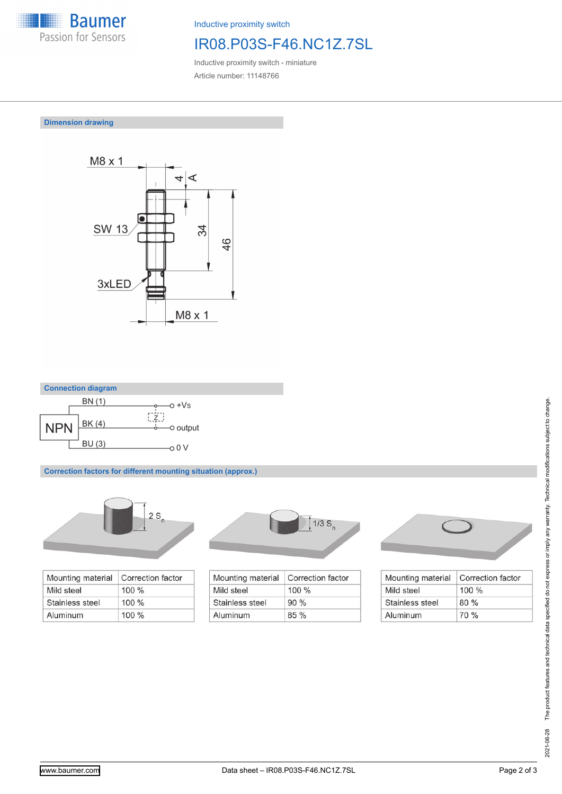

Inductive proximity switch

# IR08.P03S-F46.NC1Z.7SL

Inductive proximity switch - miniature Article number: 11148766

**Dimension drawing**





**Correction factors for different mounting situation (approx.)**



| Mounting material | Correction factor |
|-------------------|-------------------|
| Mild steel        | $100\%$           |
| Stainless steel   | $100\%$           |
| Aluminum          | 100%              |



| Mounting material | Correction factor |
|-------------------|-------------------|
| Mild steel        | $100\%$           |
| Stainless steel   | 90%               |
| Aluminum          | $85\%$            |



| Mounting material | Correction factor |
|-------------------|-------------------|
| Mild steel        | $100\%$           |
| Stainless steel   | 80%               |
| Aluminum          | 70 %              |